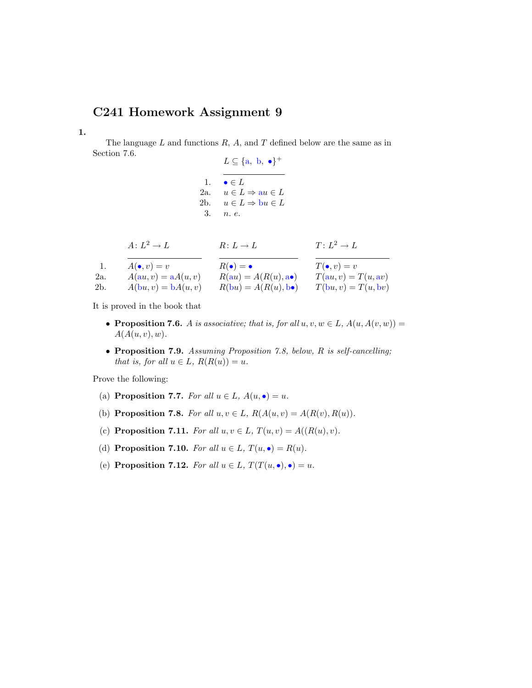## C241 Homework Assignment 9

1.

The language  $L$  and functions  $R$ ,  $A$ , and  $T$  defined below are the same as in Section 7.6.

 $L \subseteq \{a, b, \bullet\}^+$ 1.  $\bullet \in L$ 2a.  $u \in L \Rightarrow au \in L$ 2b.  $u \in L \Rightarrow bu \in L$ 3. n. e.

$$
A: L^2 \to L \qquad \qquad R: L \to L \qquad \qquad T: L^2 \to L
$$

|     | $A(\bullet, v) = v$   | $R(\bullet) = \bullet$                | $T(\bullet, v) = v$   |
|-----|-----------------------|---------------------------------------|-----------------------|
| 2a. | $A(au, v) = aA(u, v)$ | $R(au) = A(R(u), \mathbf{a} \bullet)$ | $T(au, v) = T(u, av)$ |
| 2b. | $A(bu, v) = bA(u, v)$ | $R(bu) = A(R(u), b\bullet)$           | $T(bu, v) = T(u, bv)$ |

It is proved in the book that

- Proposition 7.6. A is associative; that is, for all  $u, v, w \in L$ ,  $A(u, A(v, w)) =$  $A(A(u, v), w)$ .
- Proposition 7.9. Assuming Proposition 7.8, below, R is self-cancelling; that is, for all  $u \in L$ ,  $R(R(u)) = u$ .

Prove the following:

- (a) Proposition 7.7. For all  $u \in L$ ,  $A(u, \bullet) = u$ .
- (b) Proposition 7.8. For all  $u, v \in L$ ,  $R(A(u, v) = A(R(v), R(u))$ .
- (c) Proposition 7.11. For all  $u, v \in L$ ,  $T(u, v) = A((R(u), v)$ .
- (d) Proposition 7.10. For all  $u \in L$ ,  $T(u, \bullet) = R(u)$ .
- (e) Proposition 7.12. For all  $u \in L$ ,  $T(T(u, \bullet), \bullet) = u$ .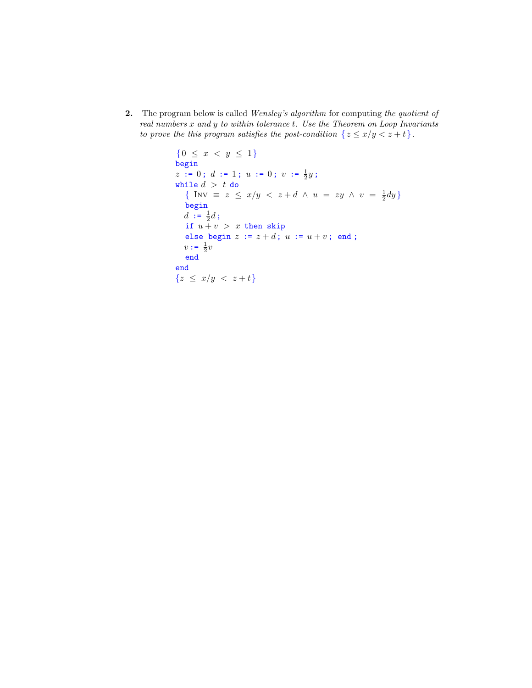2. The program below is called Wensley's algorithm for computing the quotient of real numbers x and y to within tolerance t. Use the Theorem on Loop Invariants to prove the this program satisfies the post-condition  $\{z \leq x/y < z + t\}.$ 

```
{0 \leq x < y \leq 1}begin
z := 0; d := 1; u := 0; v := \frac{1}{2}y;while d > t do
   \{ \text{ Inv } \equiv z \leq x/y < z+d \wedge u = zy \wedge v = \frac{1}{2}dy \}begin
   d := \frac{1}{2}d;
  if u + v > x then skip
  else begin z := z + d; u := u + v; end;
   v := \frac{1}{2}vend
end
{z \leq x/y < z+t}
```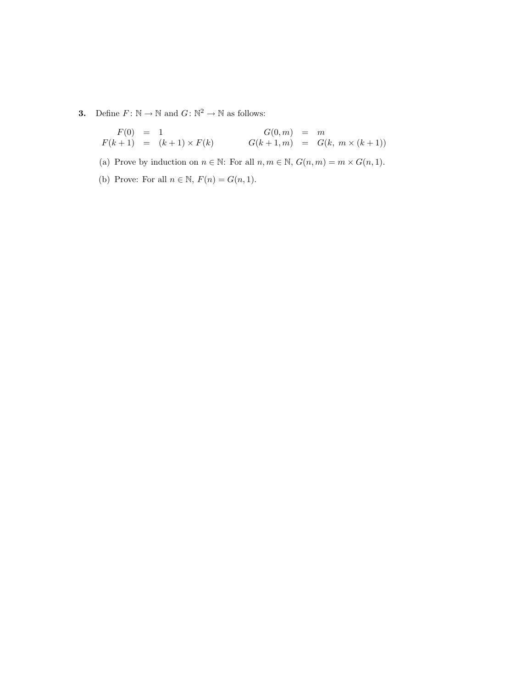**3.** Define  $F: \mathbb{N} \to \mathbb{N}$  and  $G: \mathbb{N}^2 \to \mathbb{N}$  as follows:

$$
F(0) = 1F(k+1) = (k+1) \times F(k) \qquad G(0,m) = mG(k+1,m) = G(k, m \times (k+1))
$$

(a) Prove by induction on  $n \in \mathbb{N}$ : For all  $n, m \in \mathbb{N}$ ,  $G(n, m) = m \times G(n, 1)$ .

(b) Prove: For all  $n \in \mathbb{N}$ ,  $F(n) = G(n, 1)$ .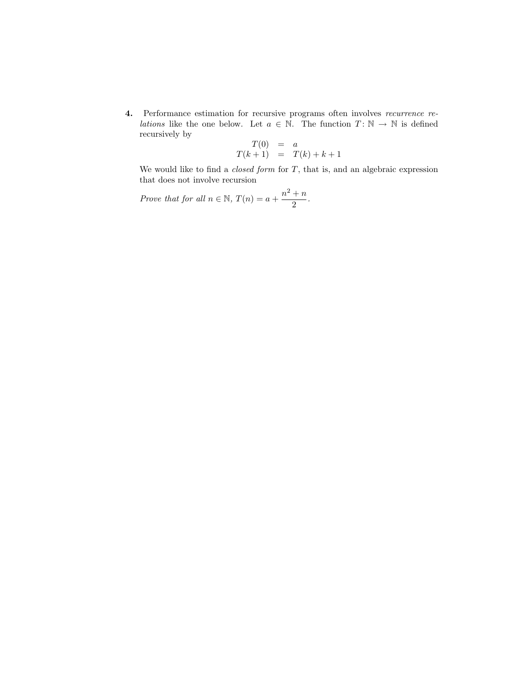4. Performance estimation for recursive programs often involves recurrence re*lations* like the one below. Let  $a \in \mathbb{N}$ . The function  $T: \mathbb{N} \to \mathbb{N}$  is defined recursively by

$$
T(0) = a
$$
  

$$
T(k+1) = T(k) + k + 1
$$

We would like to find a *closed form* for  $T$ , that is, and an algebraic expression that does not involve recursion

Prove that for all  $n \in \mathbb{N}$ ,  $T(n) = a + \frac{n^2 + n}{2}$  $\frac{1}{2}$ .